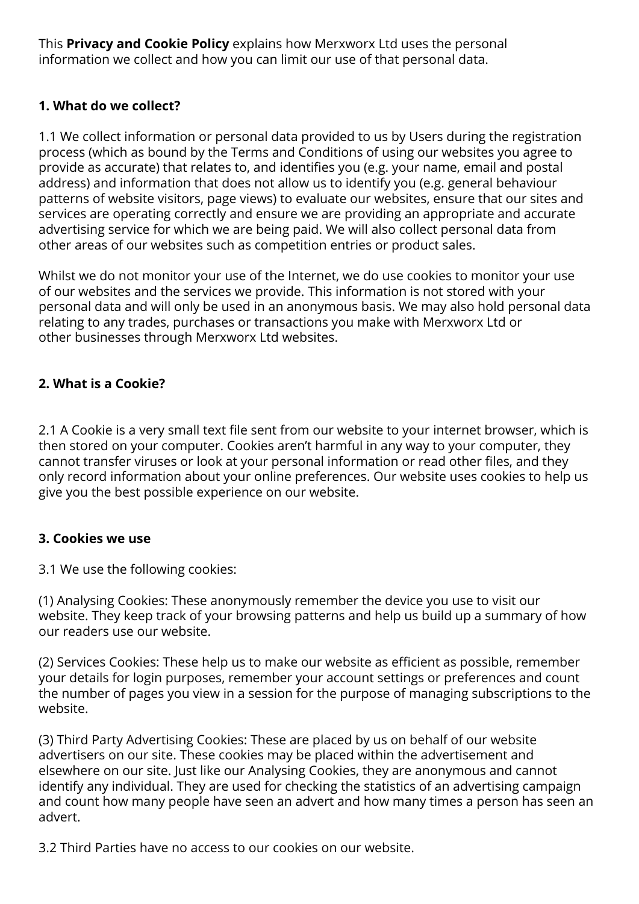This **Privacy and Cookie Policy** explains how Merxworx Ltd uses the personal information we collect and how you can limit our use of that personal data.

# **1. What do we collect?**

1.1 We collect information or personal data provided to us by Users during the registration process (which as bound by the Terms and Conditions of using our websites you agree to provide as accurate) that relates to, and identifies you (e.g. your name, email and postal address) and information that does not allow us to identify you (e.g. general behaviour patterns of website visitors, page views) to evaluate our websites, ensure that our sites and services are operating correctly and ensure we are providing an appropriate and accurate advertising service for which we are being paid. We will also collect personal data from other areas of our websites such as competition entries or product sales.

Whilst we do not monitor your use of the Internet, we do use cookies to monitor your use of our websites and the services we provide. This information is not stored with your personal data and will only be used in an anonymous basis. We may also hold personal data relating to any trades, purchases or transactions you make with Merxworx Ltd or other businesses through Merxworx Ltd websites.

# **2. What is a Cookie?**

2.1 A Cookie is a very small text file sent from our website to your internet browser, which is then stored on your computer. Cookies aren't harmful in any way to your computer, they cannot transfer viruses or look at your personal information or read other files, and they only record information about your online preferences. Our website uses cookies to help us give you the best possible experience on our website.

### **3. Cookies we use**

3.1 We use the following cookies:

(1) Analysing Cookies: These anonymously remember the device you use to visit our website. They keep track of your browsing patterns and help us build up a summary of how our readers use our website.

(2) Services Cookies: These help us to make our website as efficient as possible, remember your details for login purposes, remember your account settings or preferences and count the number of pages you view in a session for the purpose of managing subscriptions to the website.

(3) Third Party Advertising Cookies: These are placed by us on behalf of our website advertisers on our site. These cookies may be placed within the advertisement and elsewhere on our site. Just like our Analysing Cookies, they are anonymous and cannot identify any individual. They are used for checking the statistics of an advertising campaign and count how many people have seen an advert and how many times a person has seen an advert.

3.2 Third Parties have no access to our cookies on our website.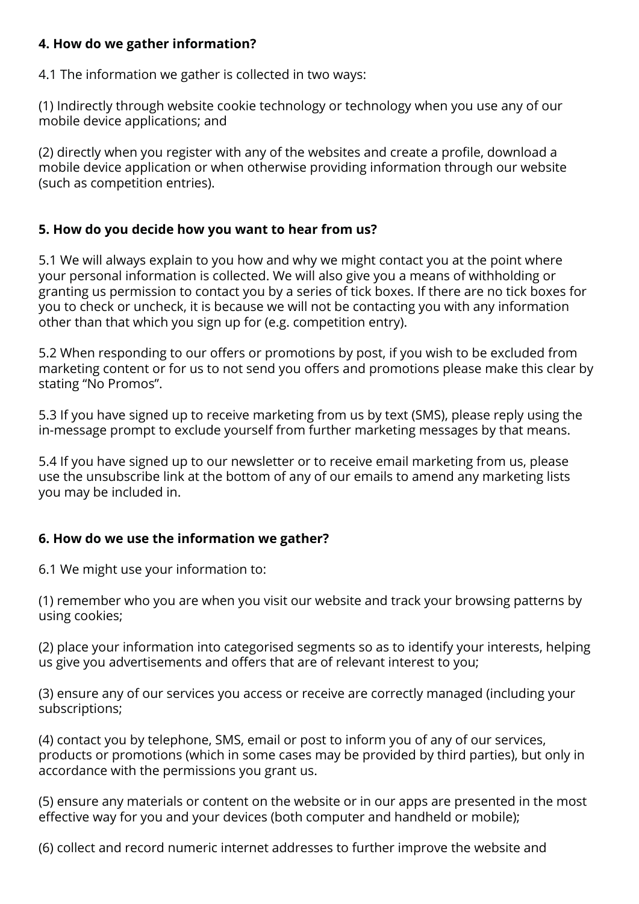#### **4. How do we gather information?**

4.1 The information we gather is collected in two ways:

(1) Indirectly through website cookie technology or technology when you use any of our mobile device applications; and

(2) directly when you register with any of the websites and create a profile, download a mobile device application or when otherwise providing information through our website (such as competition entries).

### **5. How do you decide how you want to hear from us?**

5.1 We will always explain to you how and why we might contact you at the point where your personal information is collected. We will also give you a means of withholding or granting us permission to contact you by a series of tick boxes. If there are no tick boxes for you to check or uncheck, it is because we will not be contacting you with any information other than that which you sign up for (e.g. competition entry).

5.2 When responding to our offers or promotions by post, if you wish to be excluded from marketing content or for us to not send you offers and promotions please make this clear by stating "No Promos".

5.3 If you have signed up to receive marketing from us by text (SMS), please reply using the in-message prompt to exclude yourself from further marketing messages by that means.

5.4 If you have signed up to our newsletter or to receive email marketing from us, please use the unsubscribe link at the bottom of any of our emails to amend any marketing lists you may be included in.

### **6. How do we use the information we gather?**

6.1 We might use your information to:

(1) remember who you are when you visit our website and track your browsing patterns by using cookies;

(2) place your information into categorised segments so as to identify your interests, helping us give you advertisements and offers that are of relevant interest to you;

(3) ensure any of our services you access or receive are correctly managed (including your subscriptions;

(4) contact you by telephone, SMS, email or post to inform you of any of our services, products or promotions (which in some cases may be provided by third parties), but only in accordance with the permissions you grant us.

(5) ensure any materials or content on the website or in our apps are presented in the most effective way for you and your devices (both computer and handheld or mobile);

(6) collect and record numeric internet addresses to further improve the website and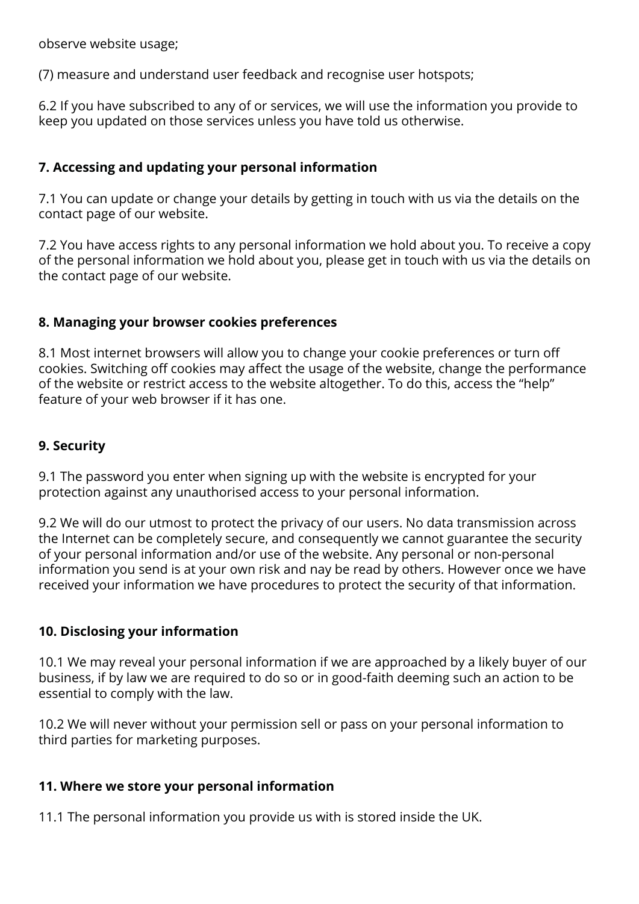observe website usage;

(7) measure and understand user feedback and recognise user hotspots;

6.2 If you have subscribed to any of or services, we will use the information you provide to keep you updated on those services unless you have told us otherwise.

# **7. Accessing and updating your personal information**

7.1 You can update or change your details by getting in touch with us via the details on the contact page of our website.

7.2 You have access rights to any personal information we hold about you. To receive a copy of the personal information we hold about you, please get in touch with us via the details on the contact page of our website.

### **8. Managing your browser cookies preferences**

8.1 Most internet browsers will allow you to change your cookie preferences or turn off cookies. Switching off cookies may affect the usage of the website, change the performance of the website or restrict access to the website altogether. To do this, access the "help" feature of your web browser if it has one.

#### **9. Security**

9.1 The password you enter when signing up with the website is encrypted for your protection against any unauthorised access to your personal information.

9.2 We will do our utmost to protect the privacy of our users. No data transmission across the Internet can be completely secure, and consequently we cannot guarantee the security of your personal information and/or use of the website. Any personal or non-personal information you send is at your own risk and nay be read by others. However once we have received your information we have procedures to protect the security of that information.

### **10. Disclosing your information**

10.1 We may reveal your personal information if we are approached by a likely buyer of our business, if by law we are required to do so or in good-faith deeming such an action to be essential to comply with the law.

10.2 We will never without your permission sell or pass on your personal information to third parties for marketing purposes.

### **11. Where we store your personal information**

11.1 The personal information you provide us with is stored inside the UK.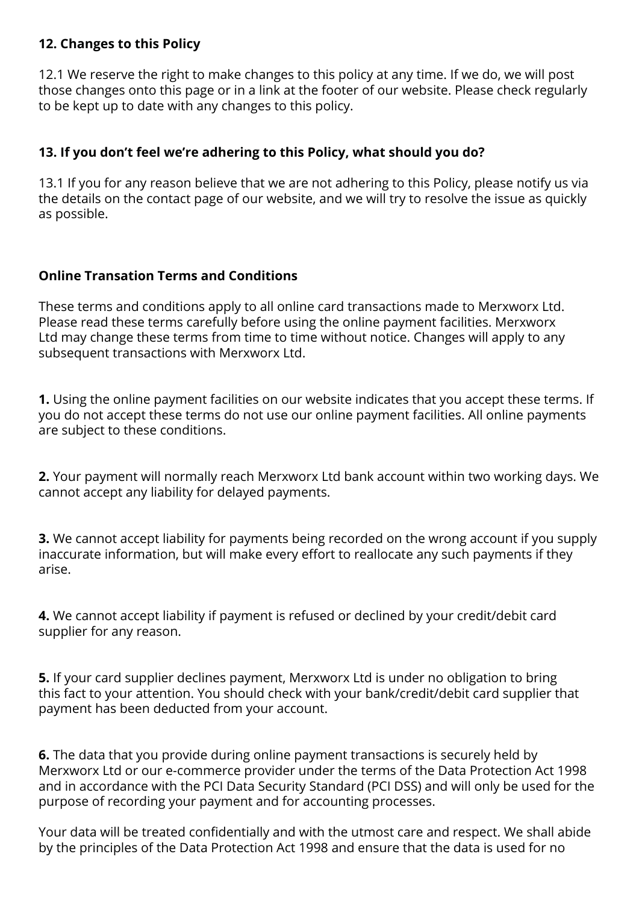#### **12. Changes to this Policy**

12.1 We reserve the right to make changes to this policy at any time. If we do, we will post those changes onto this page or in a link at the footer of our website. Please check regularly to be kept up to date with any changes to this policy.

#### **13. If you don't feel we're adhering to this Policy, what should you do?**

13.1 If you for any reason believe that we are not adhering to this Policy, please notify us via the details on the contact page of our website, and we will try to resolve the issue as quickly as possible.

### **Online Transation Terms and Conditions**

These terms and conditions apply to all online card transactions made to Merxworx Ltd. Please read these terms carefully before using the online payment facilities. Merxworx Ltd may change these terms from time to time without notice. Changes will apply to any subsequent transactions with Merxworx Ltd.

**1.** Using the online payment facilities on our website indicates that you accept these terms. If you do not accept these terms do not use our online payment facilities. All online payments are subject to these conditions.

**2.** Your payment will normally reach Merxworx Ltd bank account within two working days. We cannot accept any liability for delayed payments.

**3.** We cannot accept liability for payments being recorded on the wrong account if you supply inaccurate information, but will make every effort to reallocate any such payments if they arise.

**4.** We cannot accept liability if payment is refused or declined by your credit/debit card supplier for any reason.

**5.** If your card supplier declines payment, Merxworx Ltd is under no obligation to bring this fact to your attention. You should check with your bank/credit/debit card supplier that payment has been deducted from your account.

**6.** The data that you provide during online payment transactions is securely held by Merxworx Ltd or our e-commerce provider under the terms of the Data Protection Act 1998 and in accordance with the PCI Data Security Standard (PCI DSS) and will only be used for the purpose of recording your payment and for accounting processes.

Your data will be treated confidentially and with the utmost care and respect. We shall abide by the principles of the Data Protection Act 1998 and ensure that the data is used for no